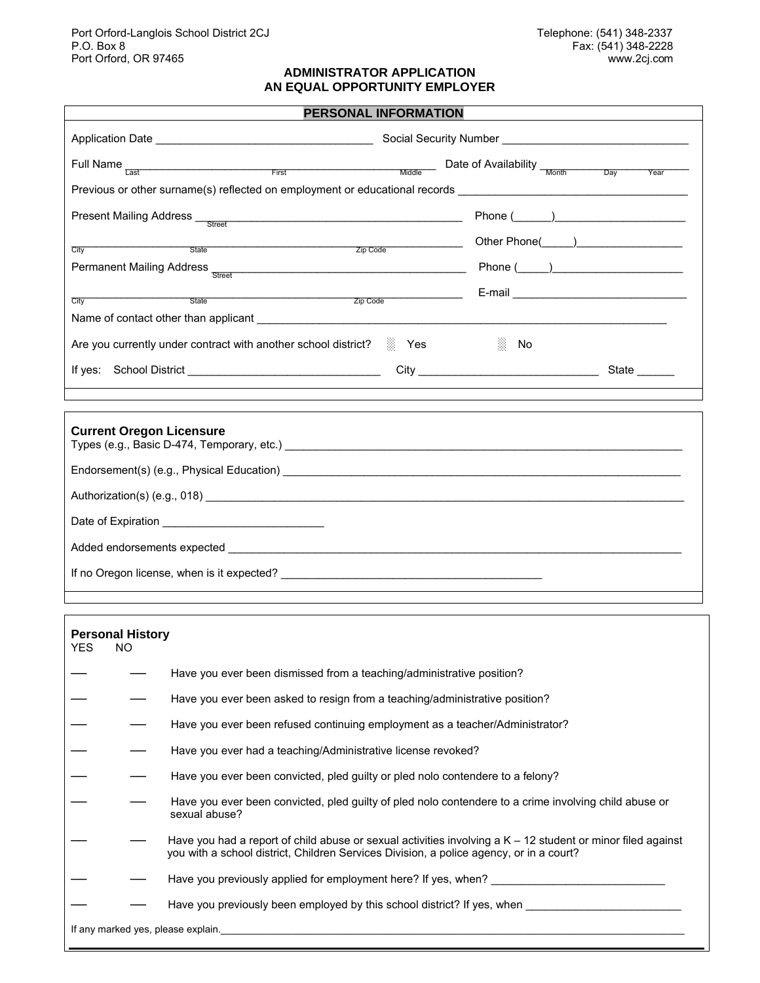#### **ADMINISTRATOR APPLICATION AN EQUAL OPPORTUNITY EMPLOYER**

| <b>PERSONAL INFORMATION</b>                                                                                                                                                                                                           |                |  |  |  |
|---------------------------------------------------------------------------------------------------------------------------------------------------------------------------------------------------------------------------------------|----------------|--|--|--|
|                                                                                                                                                                                                                                       |                |  |  |  |
| Full Name<br>Example 2014 The Transformation of Availability The Month Day                                                                                                                                                            | Year           |  |  |  |
| Previous or other surname(s) reflected on employment or educational records __________________________________                                                                                                                        |                |  |  |  |
| Present Mailing Address Lottle Street                                                                                                                                                                                                 | Phone $(\_\_)$ |  |  |  |
| State State State State State State State State State State State State State State State State State State State State State State State State State State State State State State State State State State State State State<br>City |                |  |  |  |
| Permanent Mailing Address Research Control of The Control of The Control of The Control of The Control of The Control of The Control of The Control of The Control of The Control of The Control of The Control of The Control        |                |  |  |  |
| $\mathsf{Zip} \ \mathsf{Code}$<br><u>State</u><br>City                                                                                                                                                                                |                |  |  |  |
|                                                                                                                                                                                                                                       |                |  |  |  |
| Are you currently under contract with another school district? <b>1999</b> Yes                                                                                                                                                        | 3.<br>No       |  |  |  |
| If yes: School District School and School School and School School and School and School and School and School School and School and School and School and School and School and School and School and School and School and S        |                |  |  |  |
|                                                                                                                                                                                                                                       |                |  |  |  |
| <b>Current Oregon Licensure</b>                                                                                                                                                                                                       |                |  |  |  |
|                                                                                                                                                                                                                                       |                |  |  |  |
| Authorization(s) (e.g., 018) 18 (e.g., 018)                                                                                                                                                                                           |                |  |  |  |
|                                                                                                                                                                                                                                       |                |  |  |  |
|                                                                                                                                                                                                                                       |                |  |  |  |
|                                                                                                                                                                                                                                       |                |  |  |  |
|                                                                                                                                                                                                                                       |                |  |  |  |

# **Personal History**  YES NO Have you ever been dismissed from a teaching/administrative position? Have you ever been asked to resign from a teaching/administrative position? Have you ever been refused continuing employment as a teacher/Administrator? Have you ever had a teaching/Administrative license revoked? - Have you ever been convicted, pled guilty or pled nolo contendere to a felony? ── ── Have you ever been convicted, pled guilty of pled nolo contendere to a crime involving child abuse or sexual abuse? Have you had a report of child abuse or sexual activities involving a  $K - 12$  student or minor filed against you with a school district, Children Services Division, a police agency, or in a court? Have you previously applied for employment here? If yes, when? Have you previously been employed by this school district? If yes, when \_\_\_\_\_\_\_\_\_ If any marked yes, please explain.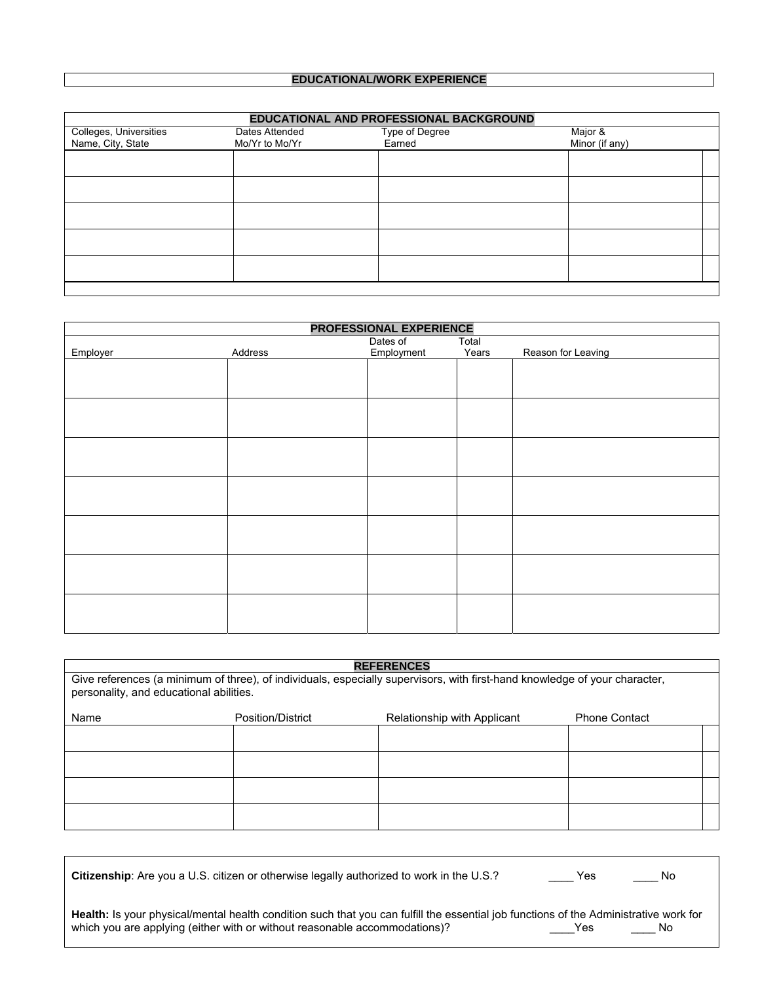## **EDUCATIONAL/WORK EXPERIENCE**

| EDUCATIONAL AND PROFESSIONAL BACKGROUND     |                                  |                          |                           |  |  |
|---------------------------------------------|----------------------------------|--------------------------|---------------------------|--|--|
| Colleges, Universities<br>Name, City, State | Dates Attended<br>Mo/Yr to Mo/Yr | Type of Degree<br>Earned | Major &<br>Minor (if any) |  |  |
|                                             |                                  |                          |                           |  |  |
|                                             |                                  |                          |                           |  |  |
|                                             |                                  |                          |                           |  |  |
|                                             |                                  |                          |                           |  |  |
|                                             |                                  |                          |                           |  |  |
|                                             |                                  |                          |                           |  |  |

| PROFESSIONAL EXPERIENCE |         |            |       |                    |
|-------------------------|---------|------------|-------|--------------------|
|                         |         | Dates of   | Total |                    |
| Employer                | Address | Employment | Years | Reason for Leaving |
|                         |         |            |       |                    |
|                         |         |            |       |                    |
|                         |         |            |       |                    |
|                         |         |            |       |                    |
|                         |         |            |       |                    |
|                         |         |            |       |                    |
|                         |         |            |       |                    |
|                         |         |            |       |                    |
|                         |         |            |       |                    |
|                         |         |            |       |                    |
|                         |         |            |       |                    |
|                         |         |            |       |                    |
|                         |         |            |       |                    |
|                         |         |            |       |                    |
|                         |         |            |       |                    |
|                         |         |            |       |                    |
|                         |         |            |       |                    |
|                         |         |            |       |                    |
|                         |         |            |       |                    |
|                         |         |            |       |                    |
|                         |         |            |       |                    |

| <b>REFERENCES</b>                                                                                                                                                     |                   |                             |                      |  |  |
|-----------------------------------------------------------------------------------------------------------------------------------------------------------------------|-------------------|-----------------------------|----------------------|--|--|
| Give references (a minimum of three), of individuals, especially supervisors, with first-hand knowledge of your character,<br>personality, and educational abilities. |                   |                             |                      |  |  |
| Name                                                                                                                                                                  | Position/District | Relationship with Applicant | <b>Phone Contact</b> |  |  |
|                                                                                                                                                                       |                   |                             |                      |  |  |
|                                                                                                                                                                       |                   |                             |                      |  |  |
|                                                                                                                                                                       |                   |                             |                      |  |  |
|                                                                                                                                                                       |                   |                             |                      |  |  |

| <b>Citizenship:</b> Are you a U.S. citizen or otherwise legally authorized to work in the U.S.?                                                                                                                     | Yes | <b>No</b> |
|---------------------------------------------------------------------------------------------------------------------------------------------------------------------------------------------------------------------|-----|-----------|
| Health: Is your physical/mental health condition such that you can fulfill the essential job functions of the Administrative work for<br>which you are applying (either with or without reasonable accommodations)? | Yes | No.       |